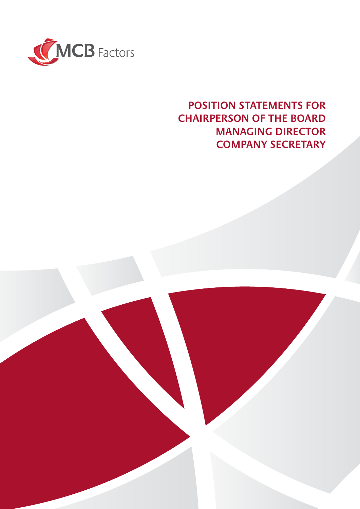

## **POSITION STATEMENTS FOR CHAIRPERSON OF THE BOARD MANAGING DIRECTOR COMPANY SECRETARY**

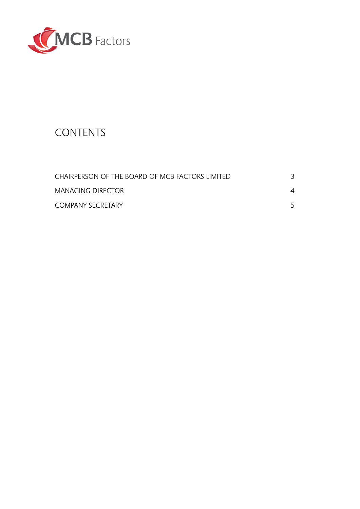

# **CONTENTS**

| CHAIRPERSON OF THE BOARD OF MCB FACTORS LIMITED |   |
|-------------------------------------------------|---|
| MANAGING DIRECTOR                               |   |
| <b>COMPANY SECRETARY</b>                        | 5 |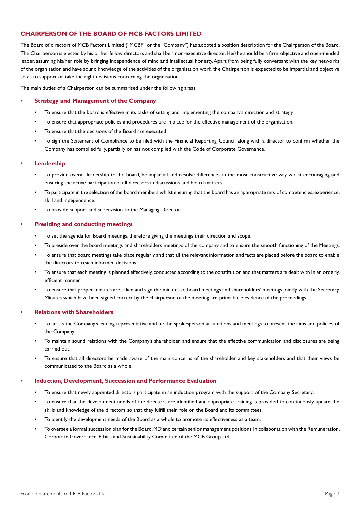## **CHAIRPERSON OF THE BOARD OF MCB FACTORS LIMITED**

The Board of directors of MCB Factors Limited ("MCBF" or the "Company") has adopted a position description for the Chairperson of the Board. The Chairperson is elected by his or her fellow directors and shall be a non-executive director. He/she should be a firm, objective and open-minded leader, assuming his/her role by bringing independence of mind and intellectual honesty. Apart from being fully conversant with the key networks of the organisation and have sound knowledge of the activities of the organisation work, the Chairperson is expected to be impartial and objective so as to support or take the right decisions concerning the organisation.

The main duties of a Chairperson can be summarised under the following areas:

## **• Strategy and Management of the Company**

- To ensure that the board is effective in its tasks of setting and implementing the company's direction and strategy.
- To ensure that appropriate policies and procedures are in place for the effective management of the organisation.
- To ensure that the decisions of the Board are executed
- To sign the Statement of Compliance to be filed with the Financial Reporting Council along with a director to confirm whether the Company has complied fully, partially or has not complied with the Code of Corporate Governance.

#### **• Leadership**

- To provide overall leadership to the board, be impartial and resolve differences in the most constructive way whilst encouraging and ensuring the active participation of all directors in discussions and board matters.
- To participate in the selection of the board members whilst ensuring that the board has an appropriate mix of competencies, experience, skill and independence.
- To provide support and supervision to the Managing Director.

#### **• Presiding and conducting meetings**

- To set the agenda for Board meetings, therefore giving the meetings their direction and scope.
- To preside over the board meetings and shareholders meetings of the company and to ensure the smooth functioning of the Meetings.
- To ensure that board meetings take place regularly and that all the relevant information and facts are placed before the board to enable the directors to reach informed decisions.
- To ensure that each meeting is planned effectively, conducted according to the constitution and that matters are dealt with in an orderly, efficient manner.
- To ensure that proper minutes are taken and sign the minutes of board meetings and shareholders' meetings jointly with the Secretary. Minutes which have been signed correct by the chairperson of the meeting are prima facie evidence of the proceedings.

#### **• Relations with Shareholders**

- To act as the Company's leading representative and be the spokesperson at functions and meetings to present the aims and policies of the Company.
- To maintain sound relations with the Company's shareholder and ensure that the effective communication and disclosures are being carried out.
- To ensure that all directors be made aware of the main concerns of the shareholder and key stakeholders and that their views be communicated to the Board as a whole.

#### **• Induction, Development, Succession and Performance Evaluation**

- To ensure that newly appointed directors participate in an induction program with the support of the Company Secretary.
- To ensure that the development needs of the directors are identified and appropriate training is provided to continuously update the skills and knowledge of the directors so that they fulfill their role on the Board and its committees.
- To identify the development needs of the Board as a whole to promote its effectiveness as a team.
- To oversee a formal succession plan for the Board, MD and certain senior management positions, in collaboration with the Remuneration, Corporate Governance, Ethics and Sustainability Committee of the MCB Group Ltd.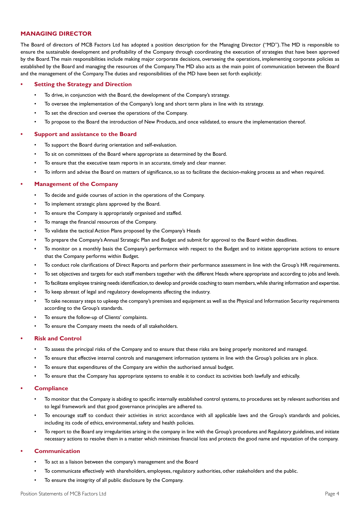## **MANAGING DIRECTOR**

The Board of directors of MCB Factors Ltd has adopted a position description for the Managing Director ("MD"). The MD is responsible to ensure the sustainable development and profitability of the Company through coordinating the execution of strategies that have been approved by the Board. The main responsibilities include making major corporate decisions, overseeing the operations, implementing corporate policies as established by the Board and managing the resources of the Company. The MD also acts as the main point of communication between the Board and the management of the Company. The duties and responsibilities of the MD have been set forth explicitly:

#### **• Setting the Strategy and Direction**

- To drive, in conjunction with the Board, the development of the Company's strategy.
- To oversee the implementation of the Company's long and short term plans in line with its strategy.
- To set the direction and oversee the operations of the Company.
- To propose to the Board the introduction of New Products, and once validated, to ensure the implementation thereof.

#### **• Support and assistance to the Board**

- To support the Board during orientation and self-evaluation.
- To sit on committees of the Board where appropriate as determined by the Board.
- To ensure that the executive team reports in an accurate, timely and clear manner.
- To inform and advise the Board on matters of significance, so as to facilitate the decision-making process as and when required.

#### **• Management of the Company**

- To decide and guide courses of action in the operations of the Company.
- To implement strategic plans approved by the Board.
- To ensure the Company is appropriately organised and staffed.
- To manage the financial resources of the Company.
- To validate the tactical Action Plans proposed by the Company's Heads
- To prepare the Company's Annual Strategic Plan and Budget and submit for approval to the Board within deadlines.
- To monitor on a monthly basis the Company's performance with respect to the Budget and to initiate appropriate actions to ensure that the Company performs within Budget.
- To conduct role clarifications of Direct Reports and perform their performance assessment in line with the Group's HR requirements.
- To set objectives and targets for each staff members together with the different Heads where appropriate and according to jobs and levels.
- To facilitate employee training needs identification, to develop and provide coaching to team members, while sharing information and expertise.
- To keep abreast of legal and regulatory developments affecting the industry.
- To take necessary steps to upkeep the company's premises and equipment as well as the Physical and Information Security requirements according to the Group's standards.
- To ensure the follow-up of Clients' complaints.
- To ensure the Company meets the needs of all stakeholders.

#### **• Risk and Control**

- To assess the principal risks of the Company and to ensure that these risks are being properly monitored and managed.
- To ensure that effective internal controls and management information systems in line with the Group's policies are in place.
- To ensure that expenditures of the Company are within the authorised annual budget.
- To ensure that the Company has appropriate systems to enable it to conduct its activities both lawfully and ethically.

#### **• Compliance**

- To monitor that the Company is abiding to specific internally established control systems, to procedures set by relevant authorities and to legal framework and that good governance principles are adhered to.
- To encourage staff to conduct their activities in strict accordance with all applicable laws and the Group's standards and policies, including its code of ethics, environmental, safety and health policies.
- To report to the Board any irregularities arising in the company in line with the Group's procedures and Regulatory guidelines, and initiate necessary actions to resolve them in a matter which minimises financial loss and protects the good name and reputation of the company.

#### **• Communication**

- To act as a liaison between the company's management and the Board
- To communicate effectively with shareholders, employees, regulatory authorities, other stakeholders and the public.
- To ensure the integrity of all public disclosure by the Company.